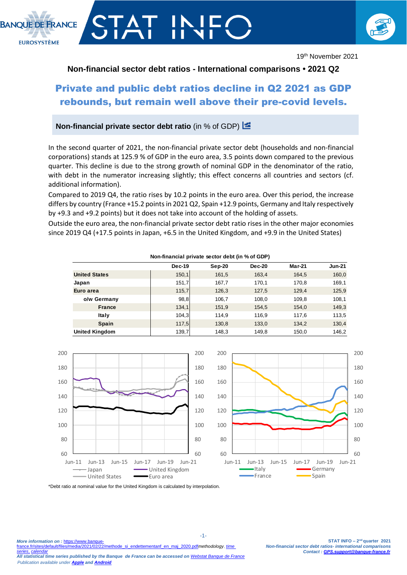

# **Non-financial sector debt ratios - International comparisons • 2021 Q2**

# Private and public debt ratios decline in Q2 2021 as GDP rebounds, but remain well above their pre-covid levels.

## **Non-financial private sector debt ratio** (in % of GDP)

In the second quarter of 2021, the non-financial private sector debt (households and non-financial corporations) stands at 125.9 % of GDP in the euro area, 3.5 points down compared to the previous quarter. This decline is due to the strong growth of nominal GDP in the denominator of the ratio, with debt in the numerator increasing slightly; this effect concerns all countries and sectors (cf. additional information).

Compared to 2019 Q4, the ratio rises by 10.2 points in the euro area. Over this period, the increase differs by country (France +15.2 points in 2021 Q2, Spain +12.9 points, Germany and Italy respectively by +9.3 and +9.2 points) but it does not take into account of the holding of assets.

Outside the euro area, the non-financial private sector debt ratio rises in the other major economies since 2019 Q4 (+17.5 points in Japan, +6.5 in the United Kingdom, and +9.9 in the United States)

| Non-financial private sector debt (in % of GDP) |        |          |               |               |               |
|-------------------------------------------------|--------|----------|---------------|---------------|---------------|
|                                                 | Dec-19 | $Sep-20$ | <b>Dec-20</b> | <b>Mar-21</b> | <b>Jun-21</b> |
| <b>United States</b>                            | 150,1  | 161,5    | 163,4         | 164,5         | 160,0         |
| Japan                                           | 151,7  | 167,7    | 170,1         | 170,8         | 169,1         |
| Euro area                                       | 115,7  | 126,3    | 127,5         | 129,4         | 125,9         |
| o/w Germany                                     | 98,8   | 106,7    | 108,0         | 109,8         | 108,1         |
| France                                          | 134,1  | 151,9    | 154,5         | 154,0         | 149,3         |
| Italy                                           | 104,3  | 114,9    | 116.9         | 117,6         | 113,5         |
| <b>Spain</b>                                    | 117,5  | 130,8    | 133,0         | 134,2         | 130,4         |
| <b>United Kingdom</b>                           | 139,7  | 148,3    | 149,8         | 150,0         | 146,2         |



\*Debt ratio at nominal value for the United Kingdom is calculated by interpolation.

*Publication available under [Apple](https://itunes.apple.com/en/app/banquefrance/id663817914?mt=8) an[d Android](https://play.google.com/store/apps/details?id=fr.bdf.mobile&hl=en)*

**BANOUE DE ERANCE** 

**EUROSYSTÈME** 

*[series](http://webstat.banque-france.fr/en/#/node/5384223)*, *[calendar](https://www.banque-france.fr/en/statistics/calendar) All statistical time series published by the Banque de France can be accessed on [Webstat Banque de France](http://webstat.banque-france.fr/en/#/home)*

-1-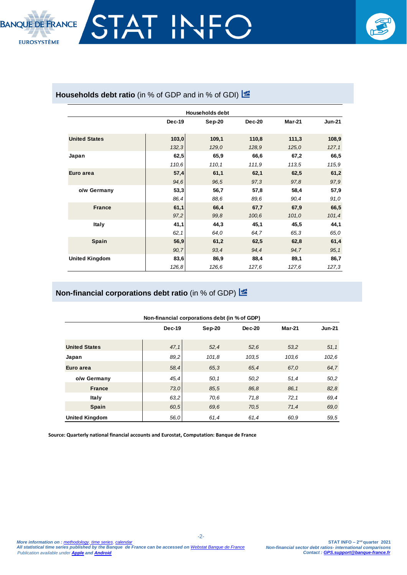

# Households debt ratio (in % of GDP and in % of GDI) **E**

| <b>Households debt</b> |        |        |               |               |               |
|------------------------|--------|--------|---------------|---------------|---------------|
|                        | Dec-19 | Sep-20 | <b>Dec-20</b> | <b>Mar-21</b> | <b>Jun-21</b> |
| <b>United States</b>   | 103,0  | 109,1  | 110,8         | 111,3         | 108,9         |
|                        | 132,3  | 129,0  | 128,9         | 125,0         | 127, 1        |
| Japan                  | 62,5   | 65,9   | 66,6          | 67,2          | 66,5          |
|                        | 110,6  | 110,1  | 111,9         | 113,5         | 115,9         |
| Euro area              | 57,4   | 61,1   | 62,1          | 62,5          | 61,2          |
|                        | 94,6   | 96,5   | 97,3          | 97,8          | 97,9          |
| o/w Germany            | 53,3   | 56,7   | 57,8          | 58,4          | 57,9          |
|                        | 86,4   | 88,6   | 89,6          | 90,4          | 91,0          |
| <b>France</b>          | 61,1   | 66,4   | 67,7          | 67,9          | 66,5          |
|                        | 97,2   | 99.8   | 100, 6        | 101,0         | 101,4         |
| <b>Italy</b>           | 41,1   | 44,3   | 45,1          | 45,5          | 44,1          |
|                        | 62, 1  | 64.0   | 64,7          | 65,3          | 65,0          |
| Spain                  | 56,9   | 61,2   | 62,5          | 62,8          | 61,4          |
|                        | 90,7   | 93,4   | 94,4          | 94,7          | 95, 1         |
| <b>United Kingdom</b>  | 83,6   | 86,9   | 88,4          | 89,1          | 86,7          |
|                        | 126,8  | 126,6  | 127,6         | 127,6         | 127,3         |

# **Non-financial corporations debt ratio** (in % of GDP)

| Non-financial corporations debt (in % of GDP) |        |          |        |               |               |
|-----------------------------------------------|--------|----------|--------|---------------|---------------|
|                                               | Dec-19 | $Sep-20$ | Dec-20 | <b>Mar-21</b> | <b>Jun-21</b> |
| <b>United States</b>                          | 47,1   | 52,4     | 52,6   | 53.2          | 51,1          |
| Japan                                         | 89,2   | 101,8    | 103.5  | 103,6         | 102,6         |
| Euro area                                     | 58.4   | 65,3     | 65.4   | 67.0          | 64,7          |
| o/w Germany                                   | 45, 4  | 50,1     | 50,2   | 51,4          | 50,2          |
| <b>France</b>                                 | 73,0   | 85.5     | 86.8   | 86,1          | 82,8          |
| Italy                                         | 63,2   | 70.6     | 71,8   | 72,1          | 69.4          |
| <b>Spain</b>                                  | 60,5   | 69.6     | 70.5   | 71,4          | 69,0          |
| <b>United Kingdom</b>                         | 56.0   | 61,4     | 61,4   | 60.9          | 59.5          |

-2-

**Source: Quarterly national financial accounts and Eurostat, Computation: Banque de France**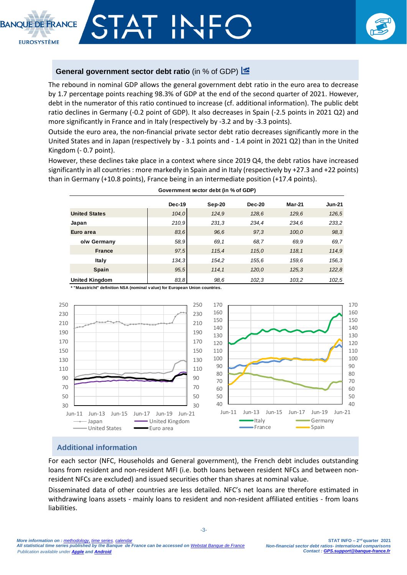**EUROSYSTÈME** 

## **General government sector debt ratio** (in % of GDP)  $\frac{1}{2}$

The rebound in nominal GDP allows the general government debt ratio in the euro area to decrease by 1.7 percentage points reaching 98.3% of GDP at the end of the second quarter of 2021. However, debt in the numerator of this ratio continued to increase (cf. additional information). The public debt ratio declines in Germany (-0.2 point of GDP). It also decreases in Spain (-2.5 points in 2021 Q2) and more significantly in France and in Italy (respectively by -3.2 and by -3.3 points).

Outside the euro area, the non-financial private sector debt ratio decreases significantly more in the United States and in Japan (respectively by - 3.1 points and - 1.4 point in 2021 Q2) than in the United Kingdom (- 0.7 point).

However, these declines take place in a context where since 2019 Q4, the debt ratios have increased significantly in all countries: more markedly in Spain and in Italy (respectively by +27.3 and +22 points) than in Germany (+10.8 points), France being in an intermediate position (+17.4 points).

|                       | Dec-19 | $Sep-20$ | <b>Dec-20</b> | <b>Mar-21</b> | <b>Jun-21</b> |
|-----------------------|--------|----------|---------------|---------------|---------------|
| <b>United States</b>  | 104.0  | 124,9    | 128,6         | 129,6         | 126,5         |
| Japan                 | 210.9  | 231.3    | 234,4         | 234,6         | 233,2         |
| Euro area             | 83.6   | 96.6     | 97.3          | 100,0         | 98,3          |
| o/w Germany           | 58,9   | 69.1     | 68.7          | 69.9          | 69.7          |
| <b>France</b>         | 97.5   | 115,4    | 115.0         | 118.1         | 114,9         |
| Italy                 | 134,3  | 154,2    | 155.6         | 159,6         | 156.3         |
| <b>Spain</b>          | 95,5   | 114,1    | 120,0         | 125,3         | 122,8         |
| <b>United Kingdom</b> | 83.8   | 98,6     | 102,3         | 103,2         | 102.5         |

**Government sector debt (in % of GDP)**

**\* "Maastricht" definition NSA (nominal v alue) for European Union countries.**



### **Additional information**

For each sector (NFC, Households and General government), the French debt includes outstanding loans from resident and non-resident MFI (i.e. both loans between resident NFCs and between nonresident NFCs are excluded) and issued securities other than shares at nominal value.

Disseminated data of other countries are less detailed. NFC's net loans are therefore estimated in withdrawing loans assets - mainly loans to resident and non-resident affiliated entities - from loans liabilities.